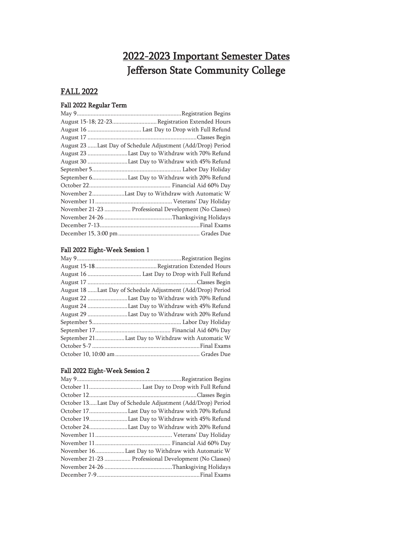# 2022-2023 Important Semester Dates Jefferson State Community College

### FALL 2022

### Fall 2022 Regular Term

| August 15-18; 22-23Registration Extended Hours              |
|-------------------------------------------------------------|
|                                                             |
|                                                             |
| August 23 Last Day of Schedule Adjustment (Add/Drop) Period |
| August 23 Last Day to Withdraw with 70% Refund              |
| August 30 Last Day to Withdraw with 45% Refund              |
|                                                             |
| September 6Last Day to Withdraw with 20% Refund             |
|                                                             |
| November 2Last Day to Withdraw with Automatic W             |
|                                                             |
| November 21-23  Professional Development (No Classes)       |
|                                                             |
|                                                             |
|                                                             |

### Fall 2022 Eight-Week Session 1

| August 18 Last Day of Schedule Adjustment (Add/Drop) Period |
|-------------------------------------------------------------|
| August 22 Last Day to Withdraw with 70% Refund              |
| August 24 Last Day to Withdraw with 45% Refund              |
| August 29 Last Day to Withdraw with 20% Refund              |
|                                                             |
|                                                             |
| September 21Last Day to Withdraw with Automatic W           |
|                                                             |
|                                                             |

### Fall 2022 Eight-Week Session 2

| October 13Last Day of Schedule Adjustment (Add/Drop) Period |
|-------------------------------------------------------------|
| October 17Last Day to Withdraw with 70% Refund              |
| October 19Last Day to Withdraw with 45% Refund              |
| October 24Last Day to Withdraw with 20% Refund              |
|                                                             |
|                                                             |
| November 16Last Day to Withdraw with Automatic W            |
| November 21-23  Professional Development (No Classes)       |
|                                                             |
|                                                             |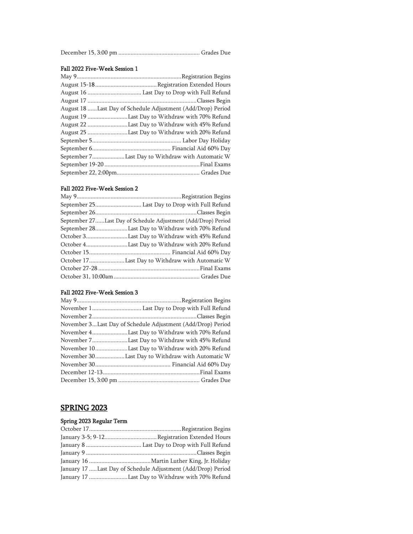|--|--|--|

#### Fall 2022 Five-Week Session 1

| August 18 Last Day of Schedule Adjustment (Add/Drop) Period |
|-------------------------------------------------------------|
| August 19 Last Day to Withdraw with 70% Refund              |
| August 22 Last Day to Withdraw with 45% Refund              |
| August 25 Last Day to Withdraw with 20% Refund              |
|                                                             |
|                                                             |
| September 7Last Day to Withdraw with Automatic W            |
|                                                             |
|                                                             |

#### Fall 2022 Five-Week Session 2

| September 27Last Day of Schedule Adjustment (Add/Drop) Period |
|---------------------------------------------------------------|
| September 28Last Day to Withdraw with 70% Refund              |
| October 3Last Day to Withdraw with 45% Refund                 |
| October 4Last Day to Withdraw with 20% Refund                 |
|                                                               |
| October 17Last Day to Withdraw with Automatic W               |
|                                                               |
|                                                               |
|                                                               |

#### Fall 2022 Five-Week Session 3

| November 3Last Day of Schedule Adjustment (Add/Drop) Period |
|-------------------------------------------------------------|
| November 4Last Day to Withdraw with 70% Refund              |
| November 7Last Day to Withdraw with 45% Refund              |
| November 10Last Day to Withdraw with 20% Refund             |
| November 30Last Day to Withdraw with Automatic W            |
|                                                             |
|                                                             |
|                                                             |

### SPRING 2023

### Spring 2023 Regular Term

| January 17 Last Day of Schedule Adjustment (Add/Drop) Period |
|--------------------------------------------------------------|
| January 17 Last Day to Withdraw with 70% Refund              |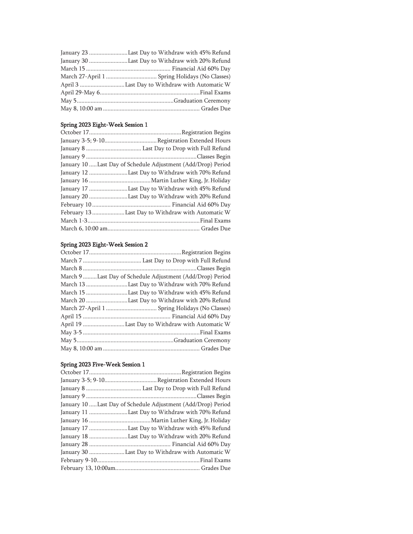| January 23 Last Day to Withdraw with 45% Refund |
|-------------------------------------------------|
| January 30 Last Day to Withdraw with 20% Refund |
|                                                 |
|                                                 |
|                                                 |
|                                                 |
|                                                 |
|                                                 |

### Spring 2023 Eight-Week Session 1

| January 10 Last Day of Schedule Adjustment (Add/Drop) Period |
|--------------------------------------------------------------|
| January 12 Last Day to Withdraw with 70% Refund              |
|                                                              |
| January 17 Last Day to Withdraw with 45% Refund              |
| January 20 Last Day to Withdraw with 20% Refund              |
|                                                              |
| February 13 Last Day to Withdraw with Automatic W            |
|                                                              |
|                                                              |

#### Spring 2023 Eight-Week Session 2

| March 9 Last Day of Schedule Adjustment (Add/Drop) Period |
|-----------------------------------------------------------|
| March 13 Last Day to Withdraw with 70% Refund             |
| March 15 Last Day to Withdraw with 45% Refund             |
| March 20 Last Day to Withdraw with 20% Refund             |
|                                                           |
|                                                           |
|                                                           |
|                                                           |
|                                                           |
|                                                           |

### Spring 2023 Five-Week Session 1

| January 10  Last Day of Schedule Adjustment (Add/Drop) Period |
|---------------------------------------------------------------|
| January 11 Last Day to Withdraw with 70% Refund               |
|                                                               |
| January 17 Last Day to Withdraw with 45% Refund               |
| January 18 Last Day to Withdraw with 20% Refund               |
|                                                               |
| January 30  Last Day to Withdraw with Automatic W             |
|                                                               |
|                                                               |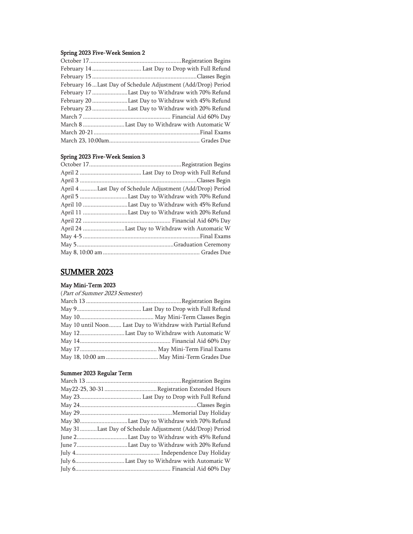#### Spring 2023 Five-Week Session 2

| February 16Last Day of Schedule Adjustment (Add/Drop) Period |
|--------------------------------------------------------------|
| February 17 Last Day to Withdraw with 70% Refund             |
| February 20 Last Day to Withdraw with 45% Refund             |
| February 23 Last Day to Withdraw with 20% Refund             |
|                                                              |
|                                                              |
|                                                              |
|                                                              |

### Spring 2023 Five-Week Session 3

| April 4 Last Day of Schedule Adjustment (Add/Drop) Period |
|-----------------------------------------------------------|
|                                                           |
| April 10 Last Day to Withdraw with 45% Refund             |
| April 11 Last Day to Withdraw with 20% Refund             |
|                                                           |
|                                                           |
|                                                           |
|                                                           |
|                                                           |

## SUMMER 2023

### May Mini-Term 2023

#### (Part of Summer 2023 Semester)

| May 10 until Noon Last Day to Withdraw with Partial Refund |
|------------------------------------------------------------|
|                                                            |
|                                                            |
|                                                            |
|                                                            |

#### Summer 2023 Regular Term

| May 30Last Day to Withdraw with 70% Refund              |
|---------------------------------------------------------|
| May 31Last Day of Schedule Adjustment (Add/Drop) Period |
| June 2Last Day to Withdraw with 45% Refund              |
| June 7Last Day to Withdraw with 20% Refund              |
|                                                         |
|                                                         |
|                                                         |